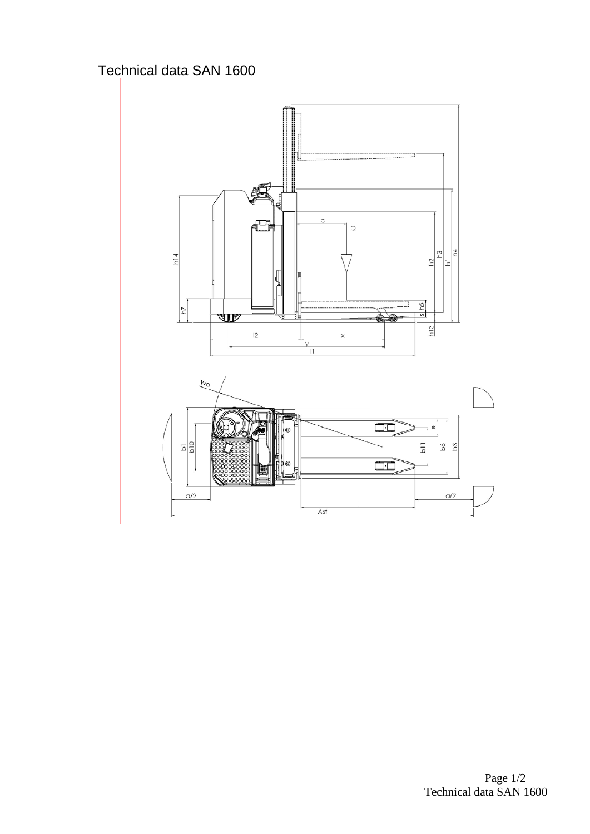## Technical data SAN 1600